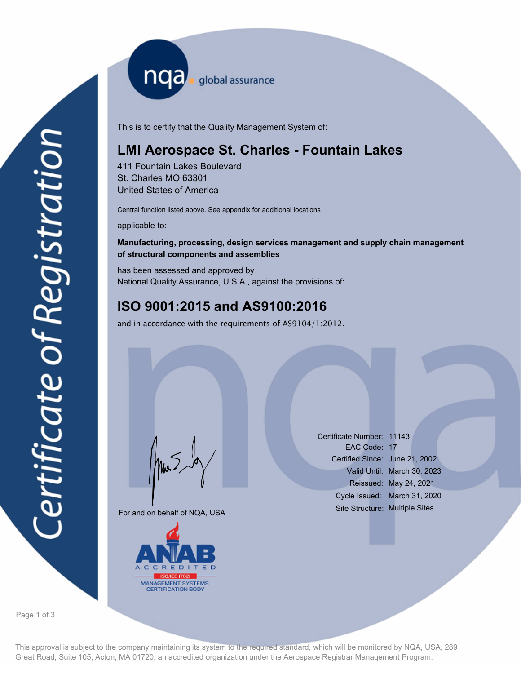nqa <sub>global assurance</sub>

This is to certify that the Quality Management System of:

# **LMI Aerospace St. Charles - Fountain Lakes**

411 Fountain Lakes Boulevard St. Charles MO 63301 United States of America

Central function listed above. See appendix for additional locations

applicable to:

# **Manufacturing, processing, design services management and supply chain management of structural components and assemblies**

has been assessed and approved by National Quality Assurance, U.S.A., against the provisions of:

# **ISO 9001:2015 and AS9100:2016**

and in accordance with the requirements of AS9104/1:2012.

For and on behalf of NQA, USA

Mus



Certificate Number: 11143 EAC Code: 17 Certified Since: June 21, 2002 Valid Until: March 30, 2023 Reissued: May 24, 2021 Cycle Issued: March 31, 2020 Site Structure: Multiple Sites

Page 1 of 3

This approval is subject to the company maintaining its system to the required standard, which will be monitored by NQA, USA, 289 Great Road, Suite 105, Acton, MA 01720, an accredited organization under the Aerospace Registrar Management Program.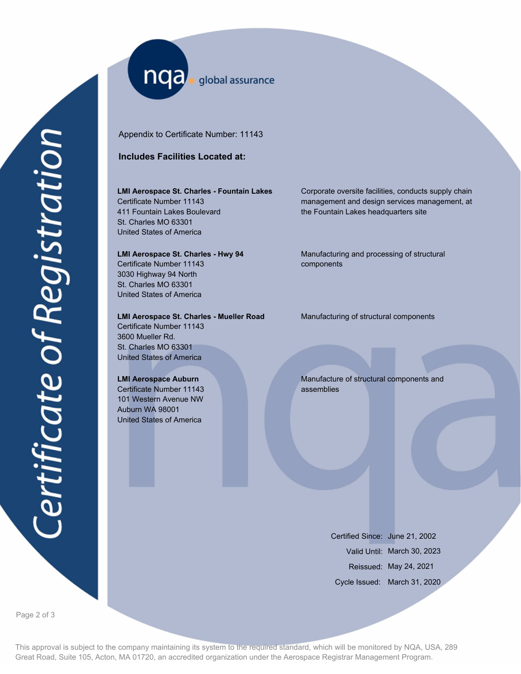nqa <sub>global assurance</sub>

Appendix to Certificate Number: 11143

## **Includes Facilities Located at:**

#### **LMI Aerospace St. Charles - Fountain Lakes**

Certificate Number 11143 411 Fountain Lakes Boulevard St. Charles MO 63301 United States of America

#### **LMI Aerospace St. Charles - Hwy 94**

Certificate Number 11143 3030 Highway 94 North St. Charles MO 63301 United States of America

### **LMI Aerospace St. Charles - Mueller Road Manufacturing of structural components**

Certificate Number 11143 3600 Mueller Rd. St. Charles MO 63301 United States of America

#### **LMI Aerospace Auburn**

Certificate Number 11143 101 Western Avenue NW Auburn WA 98001 United States of America

Corporate oversite facilities, conducts supply chain management and design services management, at the Fountain Lakes headquarters site

Manufacturing and processing of structural components

Manufacture of structural components and assemblies

> Certified Since: June 21, 2002 Valid Until: March 30, 2023 Reissued: May 24, 2021 Cycle Issued: March 31, 2020

Page 2 of 3

This approval is subject to the company maintaining its system to the required standard, which will be monitored by NQA, USA, 289 Great Road, Suite 105, Acton, MA 01720, an accredited organization under the Aerospace Registrar Management Program.